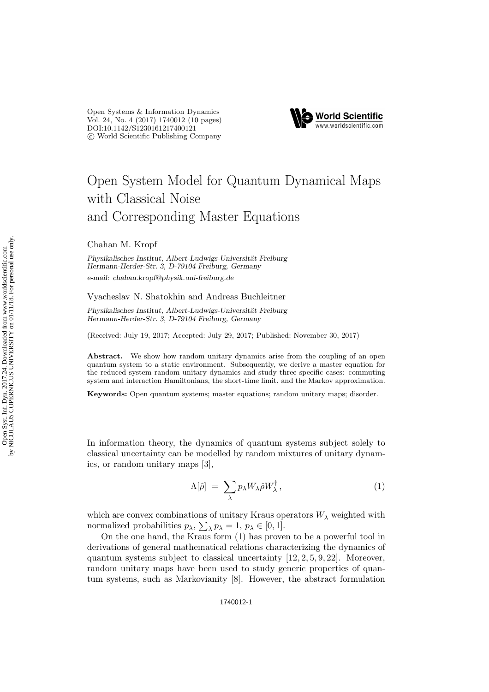Open Systems & Information Dynamics Vol. 24, No. 4 (2017) 1740012 (10 pages) [DOI:10.1142/S1230161217400121](http://dx.doi.org/10.1142/S1230161217400121) c World Scientific Publishing Company



# Open System Model for Quantum Dynamical Maps with Classical Noise and Corresponding Master Equations

Chahan M. Kropf

*Physikalisches Institut, Albert-Ludwigs-Universität Freiburg Hermann-Herder-Str. 3, D-79104 Freiburg, Germany e-mail: chahan.kropf@physik.uni-freiburg.de*

Vyacheslav N. Shatokhin and Andreas Buchleitner

Physikalisches Institut, Albert-Ludwigs-Universität Freiburg *Hermann-Herder-Str. 3, D-79104 Freiburg, Germany*

(Received: July 19, 2017; Accepted: July 29, 2017; Published: November 30, 2017)

Abstract. We show how random unitary dynamics arise from the coupling of an open quantum system to a static environment. Subsequently, we derive a master equation for the reduced system random unitary dynamics and study three specific cases: commuting system and interaction Hamiltonians, the short-time limit, and the Markov approximation.

Keywords: Open quantum systems; master equations; random unitary maps; disorder.

In information theory, the dynamics of quantum systems subject solely to classical uncertainty can be modelled by random mixtures of unitary dynamics, or random unitary maps [3],

$$
\Lambda[\hat{\rho}] = \sum_{\lambda} p_{\lambda} W_{\lambda} \hat{\rho} W_{\lambda}^{\dagger}, \qquad (1)
$$

which are convex combinations of unitary Kraus operators  $W_{\lambda}$  weighted with normalized probabilities  $p_{\lambda}$ ,  $\sum_{\lambda} p_{\lambda} = 1$ ,  $p_{\lambda} \in [0, 1]$ .

On the one hand, the Kraus form (1) has proven to be a powerful tool in derivations of general mathematical relations characterizing the dynamics of quantum systems subject to classical uncertainty  $[12, 2, 5, 9, 22]$ . Moreover, random unitary maps have been used to study generic properties of quantum systems, such as Markovianity [8]. However, the abstract formulation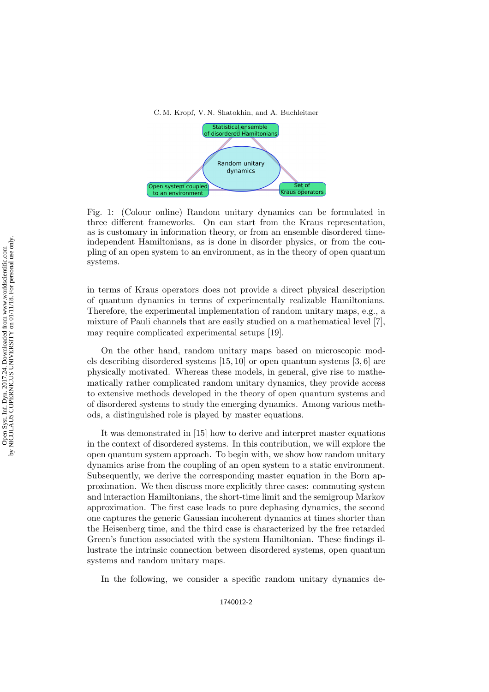



Fig. 1: (Colour online) Random unitary dynamics can be formulated in three different frameworks. On can start from the Kraus representation, as is customary in information theory, or from an ensemble disordered timeindependent Hamiltonians, as is done in disorder physics, or from the coupling of an open system to an environment, as in the theory of open quantum systems.

in terms of Kraus operators does not provide a direct physical description of quantum dynamics in terms of experimentally realizable Hamiltonians. Therefore, the experimental implementation of random unitary maps, e.g., a mixture of Pauli channels that are easily studied on a mathematical level [7], may require complicated experimental setups [19].

On the other hand, random unitary maps based on microscopic models describing disordered systems [15, 10] or open quantum systems [3, 6] are physically motivated. Whereas these models, in general, give rise to mathematically rather complicated random unitary dynamics, they provide access to extensive methods developed in the theory of open quantum systems and of disordered systems to study the emerging dynamics. Among various methods, a distinguished role is played by master equations.

It was demonstrated in [15] how to derive and interpret master equations in the context of disordered systems. In this contribution, we will explore the open quantum system approach. To begin with, we show how random unitary dynamics arise from the coupling of an open system to a static environment. Subsequently, we derive the corresponding master equation in the Born approximation. We then discuss more explicitly three cases: commuting system and interaction Hamiltonians, the short-time limit and the semigroup Markov approximation. The first case leads to pure dephasing dynamics, the second one captures the generic Gaussian incoherent dynamics at times shorter than the Heisenberg time, and the third case is characterized by the free retarded Green's function associated with the system Hamiltonian. These findings illustrate the intrinsic connection between disordered systems, open quantum systems and random unitary maps.

In the following, we consider a specific random unitary dynamics de-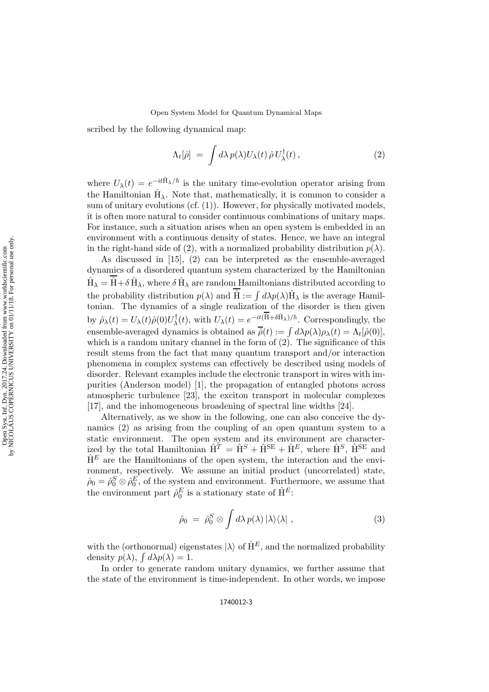#### Open System Model for Quantum Dynamical Maps

scribed by the following dynamical map:

$$
\Lambda_t[\hat{\rho}] = \int d\lambda \, p(\lambda) U_{\lambda}(t) \, \hat{\rho} \, U_{\lambda}^{\dagger}(t) \,, \tag{2}
$$

where  $U_{\lambda}(t) = e^{-it\hat{H}_{\lambda}/\hbar}$  is the unitary time-evolution operator arising from the Hamiltonian  $\hat{H}_{\lambda}$ . Note that, mathematically, it is common to consider a sum of unitary evolutions (cf. (1)). However, for physically motivated models, it is often more natural to consider continuous combinations of unitary maps. For instance, such a situation arises when an open system is embedded in an environment with a continuous density of states. Hence, we have an integral in the right-hand side of (2), with a normalized probability distribution  $p(\lambda)$ .

As discussed in [15], (2) can be interpreted as the ensemble-averaged dynamics of a disordered quantum system characterized by the Hamiltonian  $\hat{H}_\lambda=\hat{H}+\delta\,\hat{H}_\lambda,$  where  $\delta\,\hat{H}_\lambda$  are random Hamiltonians distributed according to the probability distribution  $p(\lambda)$  and  $\hat{H} := \int d\lambda p(\lambda) \hat{H}_{\lambda}$  is the average Hamiltonian. The dynamics of a single realization of the disorder is then given by  $\hat{\rho}_{\lambda}(t) = U_{\lambda}(t)\hat{\rho}(0)U_{\lambda}^{\dagger}(t)$ , with  $U_{\lambda}(t) = e^{-it(\hat{H}+\delta\hat{H}_{\lambda})/\hbar}$ . Correspondingly, the ensemble-averaged dynamics is obtained as  $\overline{\hat{\rho}}(t) := \int d\lambda p(\lambda) \rho_{\lambda}(t) = \Lambda_t[\hat{\rho}(0)],$ which is a random unitary channel in the form of  $(2)$ . The significance of this result stems from the fact that many quantum transport and/or interaction phenomena in complex systems can effectively be described using models of disorder. Relevant examples include the electronic transport in wires with impurities (Anderson model) [1], the propagation of entangled photons across atmospheric turbulence [23], the exciton transport in molecular complexes [17], and the inhomogeneous broadening of spectral line widths [24].

Alternatively, as we show in the following, one can also conceive the dynamics (2) as arising from the coupling of an open quantum system to a static environment. The open system and its environment are characterized by the total Hamiltonian  $\hat{H}^T = \hat{H}^S + \hat{H}^{SE} + \hat{H}^E$ , where  $\hat{H}^S$ ,  $\hat{H}^{SE}$  and  $\hat{H}^E$  are the Hamiltonians of the open system, the interaction and the environment, respectively. We assume an initial product (uncorrelated) state,  $\hat{\rho}_0 = \hat{\rho}_0^S \otimes \hat{\rho}_0^E$ , of the system and environment. Furthermore, we assume that the environment part  $\hat{\rho}_0^E$  is a stationary state of  $\hat{\mathbf{H}}^E$ :

$$
\hat{\rho}_0 = \hat{\rho}_0^S \otimes \int d\lambda \, p(\lambda) \, |\lambda\rangle\langle\lambda| \;, \tag{3}
$$

with the (orthonormal) eigenstates  $|\lambda\rangle$  of  $\hat{H}^E$ , and the normalized probability density  $p(\lambda)$ ,  $\int d\lambda p(\lambda) = 1$ .

In order to generate random unitary dynamics, we further assume that the state of the environment is time-independent. In other words, we impose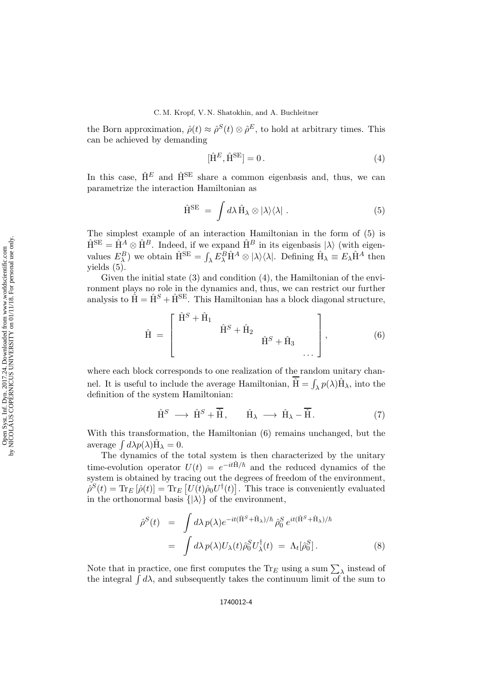the Born approximation,  $\hat{\rho}(t) \approx \hat{\rho}^S(t) \otimes \hat{\rho}^E$ , to hold at arbitrary times. This can be achieved by demanding

$$
[\hat{\mathbf{H}}^E, \hat{\mathbf{H}}^{\text{SE}}] = 0. \tag{4}
$$

In this case,  $\hat{H}^E$  and  $\hat{H}^{SE}$  share a common eigenbasis and, thus, we can parametrize the interaction Hamiltonian as

$$
\hat{H}^{SE} = \int d\lambda \hat{H}_{\lambda} \otimes |\lambda\rangle\langle\lambda| \ . \tag{5}
$$

The simplest example of an interaction Hamiltonian in the form of (5) is  $\hat{H}^{SE} = \hat{H}^{A} \otimes \hat{H}^{B}$ . Indeed, if we expand  $\hat{H}^{B}$  in its eigenbasis  $|\lambda\rangle$  (with eigenvalues  $E_{\lambda}^{B}$ ) we obtain  $\hat{H}^{SE} = \int_{\lambda} E_{\lambda}^{B} \hat{H}^{A} \otimes |\lambda\rangle\langle\lambda|$ . Defining  $\hat{H}_{\lambda} \equiv E_{\lambda} \hat{H}^{A}$  then yields (5).

Given the initial state (3) and condition (4), the Hamiltonian of the environment plays no role in the dynamics and, thus, we can restrict our further analysis to  $\hat{H} = \hat{H}^S + \hat{H}^{SE}$ . This Hamiltonian has a block diagonal structure,

$$
\hat{H} = \begin{bmatrix} \hat{H}^S + \hat{H}_1 & \hat{H}^S + \hat{H}_2 & \dots \\ \hat{H}^S + \hat{H}_3 & \dots \end{bmatrix}, \tag{6}
$$

where each block corresponds to one realization of the random unitary channel. It is useful to include the average Hamiltonian,  $\hat{H} = \int_{\lambda} p(\lambda) \hat{H}_{\lambda}$ , into the definition of the system Hamiltonian:

$$
\hat{\mathbf{H}}^S \longrightarrow \hat{\mathbf{H}}^S + \overline{\hat{\mathbf{H}}}, \qquad \hat{\mathbf{H}}_{\lambda} \longrightarrow \hat{\mathbf{H}}_{\lambda} - \overline{\hat{\mathbf{H}}}.
$$
 (7)

With this transformation, the Hamiltonian (6) remains unchanged, but the average  $\int d\lambda p(\lambda) \hat{H}_{\lambda} = 0$ .

The dynamics of the total system is then characterized by the unitary time-evolution operator  $U(t) = e^{-it\hat{H}/\hbar}$  and the reduced dynamics of the system is obtained by tracing out the degrees of freedom of the environment,  $\hat{\rho}^{S}(t) = \text{Tr}_{E} [\hat{\rho}(t)] = \text{Tr}_{E} [U(t)\hat{\rho}_{0}U^{\dagger}(t)].$  This trace is conveniently evaluated in the orthonormal basis  $\{|\lambda\rangle\}$  of the environment,

$$
\hat{\rho}^{S}(t) = \int d\lambda \, p(\lambda) e^{-it(\hat{\mathbf{H}}^{S} + \hat{\mathbf{H}}_{\lambda})/\hbar} \, \hat{\rho}_{0}^{S} \, e^{it(\hat{\mathbf{H}}^{S} + \hat{\mathbf{H}}_{\lambda})/\hbar} \\
= \int d\lambda \, p(\lambda) U_{\lambda}(t) \hat{\rho}_{0}^{S} U_{\lambda}^{\dagger}(t) = \Lambda_{t}[\hat{\rho}_{0}^{S}].
$$
\n(8)

Note that in practice, one first computes the  $\text{Tr}_E$  using a sum  $\sum_{\lambda}$  instead of the integral  $\int d\lambda$ , and subsequently takes the continuum limit of the sum to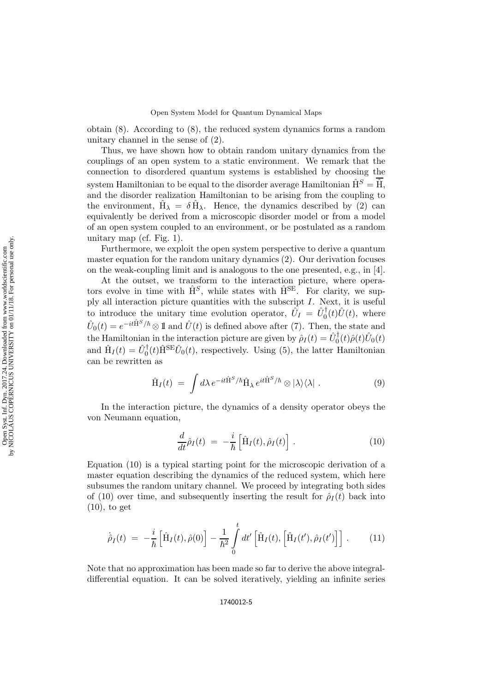obtain (8). According to (8), the reduced system dynamics forms a random unitary channel in the sense of (2).

Thus, we have shown how to obtain random unitary dynamics from the couplings of an open system to a static environment. We remark that the connection to disordered quantum systems is established by choosing the system Hamiltonian to be equal to the disorder average Hamiltonian  $\hat{H}^S = \hat{H}$ , and the disorder realization Hamiltonian to be arising from the coupling to the environment,  $\hat{H}_{\lambda} = \delta \hat{H}_{\lambda}$ . Hence, the dynamics described by (2) can equivalently be derived from a microscopic disorder model or from a model of an open system coupled to an environment, or be postulated as a random unitary map (cf. Fig. 1).

Furthermore, we exploit the open system perspective to derive a quantum master equation for the random unitary dynamics (2). Our derivation focuses on the weak-coupling limit and is analogous to the one presented, e.g., in [4].

At the outset, we transform to the interaction picture, where operators evolve in time with  $\hat{H}^S$ , while states with  $\hat{H}^{SE}$ . For clarity, we supply all interaction picture quantities with the subscript I. Next, it is useful to introduce the unitary time evolution operator,  $\hat{U}_I = \hat{U}_0^{\dagger}(t)\hat{U}(t)$ , where  $\hat{U}_0(t) = e^{-it\hat{H}^S/\hbar} \otimes \mathbb{1}$  and  $\hat{U}(t)$  is defined above after (7). Then, the state and the Hamiltonian in the interaction picture are given by  $\hat{\rho}_I(t) = \hat{U}_0^{\dagger}(t)\hat{\rho}(t)\hat{U}_0(t)$ and  $\hat{H}_I(t) = \hat{U}_0^{\dagger}(t)\hat{H}^{SE}\hat{U}_0(t)$ , respectively. Using (5), the latter Hamiltonian can be rewritten as

$$
\hat{H}_I(t) = \int d\lambda \, e^{-it\hat{H}^S/\hbar} \hat{H}_{\lambda} \, e^{it\hat{H}^S/\hbar} \otimes |\lambda\rangle\langle\lambda| \; . \tag{9}
$$

In the interaction picture, the dynamics of a density operator obeys the von Neumann equation,

$$
\frac{d}{dt}\hat{\rho}_I(t) = -\frac{i}{\hbar} \left[ \hat{H}_I(t), \hat{\rho}_I(t) \right]. \tag{10}
$$

Equation (10) is a typical starting point for the microscopic derivation of a master equation describing the dynamics of the reduced system, which here subsumes the random unitary channel. We proceed by integrating both sides of (10) over time, and subsequently inserting the result for  $\hat{\rho}_I(t)$  back into  $(10)$ , to get

$$
\dot{\hat{\rho}}_I(t) = -\frac{i}{\hbar} \left[ \hat{H}_I(t), \hat{\rho}(0) \right] - \frac{1}{\hbar^2} \int_0^t dt' \left[ \hat{H}_I(t), \left[ \hat{H}_I(t'), \hat{\rho}_I(t') \right] \right]. \tag{11}
$$

Note that no approximation has been made so far to derive the above integraldifferential equation. It can be solved iteratively, yielding an infinite series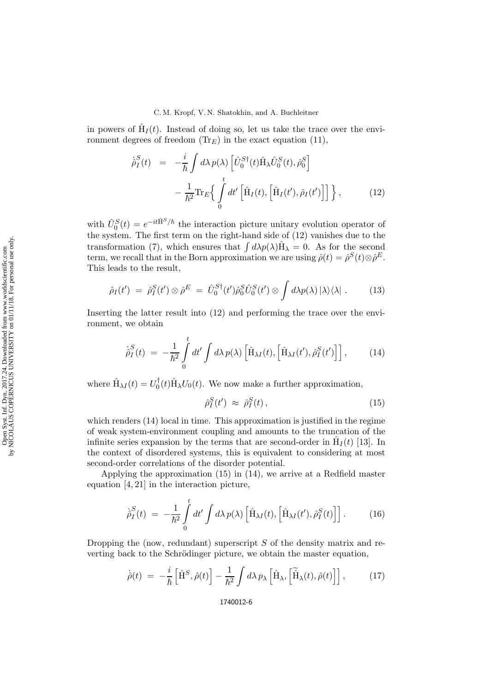## C. M. Kropf, V. N. Shatokhin, and A. Buchleitner

in powers of  $\hat{H}_I(t)$ . Instead of doing so, let us take the trace over the environment degrees of freedom  $(\text{Tr}_E)$  in the exact equation (11),

$$
\dot{\hat{\rho}}_I^S(t) = -\frac{i}{\hbar} \int d\lambda \, p(\lambda) \left[ \hat{U}_0^{S\dagger}(t) \hat{H}_{\lambda} \hat{U}_0^S(t), \hat{\rho}_0^S \right] \n- \frac{1}{\hbar^2} \text{Tr}_E \Big\{ \int_0^t dt' \left[ \hat{H}_I(t), \left[ \hat{H}_I(t'), \hat{\rho}_I(t') \right] \right] \Big\}, \tag{12}
$$

with  $\hat{U}_0^S(t) = e^{-it\hat{H}^S/\hbar}$  the interaction picture unitary evolution operator of the system. The first term on the right-hand side of (12) vanishes due to the transformation (7), which ensures that  $\int d\lambda p(\lambda) \hat{H}_{\lambda} = 0$ . As for the second term, we recall that in the Born approximation we are using  $\hat{\rho}(t) = \hat{\rho}^S(t) \otimes \hat{\rho}^E$ . This leads to the result,

$$
\hat{\rho}_I(t') = \hat{\rho}_I^S(t') \otimes \hat{\rho}^E = \hat{U}_0^{S\dagger}(t') \hat{\rho}_0^S \hat{U}_0^S(t') \otimes \int d\lambda p(\lambda) |\lambda\rangle\langle\lambda| \ . \tag{13}
$$

Inserting the latter result into (12) and performing the trace over the environment, we obtain

$$
\dot{\hat{\rho}}_I^S(t) = -\frac{1}{\hbar^2} \int_0^t dt' \int d\lambda \, p(\lambda) \left[ \hat{H}_{\lambda I}(t), \left[ \hat{H}_{\lambda I}(t'), \hat{\rho}_I^S(t') \right] \right], \tag{14}
$$

where  $\hat{H}_{\lambda I}(t) = U_0^{\dagger}(t)\hat{H}_{\lambda}U_0(t)$ . We now make a further approximation,

$$
\hat{\rho}_I^S(t') \approx \hat{\rho}_I^S(t), \qquad (15)
$$

which renders (14) local in time. This approximation is justified in the regime of weak system-environment coupling and amounts to the truncation of the infinite series expansion by the terms that are second-order in  $\hat{H}_I(t)$  [13]. In the context of disordered systems, this is equivalent to considering at most second-order correlations of the disorder potential.

Applying the approximation (15) in (14), we arrive at a Redfield master equation [4, 21] in the interaction picture,

$$
\dot{\hat{\rho}}_I^S(t) = -\frac{1}{\hbar^2} \int_0^t dt' \int d\lambda \, p(\lambda) \left[ \hat{H}_{\lambda I}(t), \left[ \hat{H}_{\lambda I}(t'), \hat{\rho}_I^S(t) \right] \right]. \tag{16}
$$

Dropping the (now, redundant) superscript  $S$  of the density matrix and reverting back to the Schrödinger picture, we obtain the master equation,

$$
\dot{\hat{\rho}}(t) = -\frac{i}{\hbar} \left[ \hat{\mathbf{H}}^S, \hat{\rho}(t) \right] - \frac{1}{\hbar^2} \int d\lambda \, p_\lambda \left[ \hat{\mathbf{H}}_\lambda, \left[ \hat{\mathbf{H}}_\lambda(t), \hat{\rho}(t) \right] \right], \tag{17}
$$

1740012-6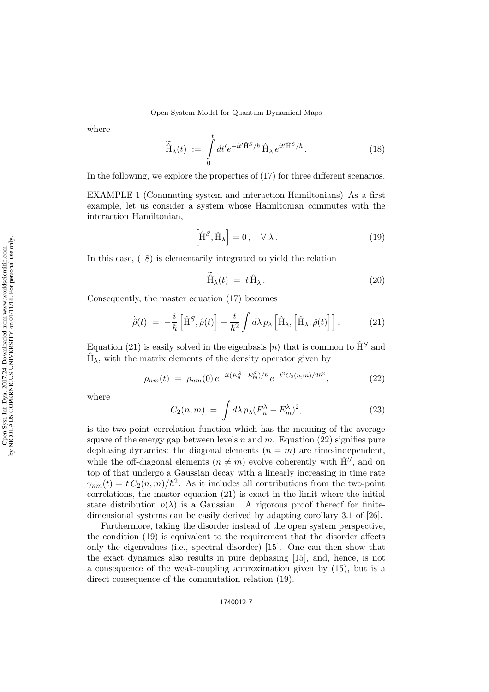Open System Model for Quantum Dynamical Maps

where

$$
\widetilde{\hat{H}}_{\lambda}(t) := \int\limits_{0}^{t} dt' e^{-it'\hat{H}^{S}/\hbar} \hat{H}_{\lambda} e^{it'\hat{H}^{S}/\hbar}.
$$
\n(18)

In the following, we explore the properties of (17) for three different scenarios.

EXAMPLE 1 (Commuting system and interaction Hamiltonians) As a first example, let us consider a system whose Hamiltonian commutes with the interaction Hamiltonian,

$$
\left[\hat{\mathbf{H}}^S, \hat{\mathbf{H}}_{\lambda}\right] = 0, \quad \forall \lambda.
$$
 (19)

In this case, (18) is elementarily integrated to yield the relation

$$
\hat{H}_{\lambda}(t) = t \hat{H}_{\lambda}.
$$
\n(20)

Consequently, the master equation (17) becomes

$$
\dot{\hat{\rho}}(t) = -\frac{i}{\hbar} \left[ \hat{\mathbf{H}}^S, \hat{\rho}(t) \right] - \frac{t}{\hbar^2} \int d\lambda \, p_\lambda \left[ \hat{\mathbf{H}}_\lambda, \left[ \hat{\mathbf{H}}_\lambda, \hat{\rho}(t) \right] \right]. \tag{21}
$$

Equation (21) is easily solved in the eigenbasis  $|n\rangle$  that is common to  $\hat{H}^S$  and  $\hat{H}_{\lambda}$ , with the matrix elements of the density operator given by

$$
\rho_{nm}(t) = \rho_{nm}(0) e^{-it(E_n^S - E_m^S)/\hbar} e^{-t^2 C_2(n,m)/2\hbar^2}, \tag{22}
$$

where

$$
C_2(n,m) = \int d\lambda \, p_\lambda (E_n^\lambda - E_m^\lambda)^2, \tag{23}
$$

is the two-point correlation function which has the meaning of the average square of the energy gap between levels n and m. Equation  $(22)$  signifies pure dephasing dynamics: the diagonal elements  $(n = m)$  are time-independent, while the off-diagonal elements  $(n \neq m)$  evolve coherently with  $\hat{H}^S$ , and on top of that undergo a Gaussian decay with a linearly increasing in time rate  $\gamma_{nm}(t) = t C_2(n,m)/\hbar^2$ . As it includes all contributions from the two-point correlations, the master equation (21) is exact in the limit where the initial state distribution  $p(\lambda)$  is a Gaussian. A rigorous proof thereof for finitedimensional systems can be easily derived by adapting corollary 3.1 of [26].

Furthermore, taking the disorder instead of the open system perspective, the condition (19) is equivalent to the requirement that the disorder affects only the eigenvalues (i.e., spectral disorder) [15]. One can then show that the exact dynamics also results in pure dephasing [15], and, hence, is not a consequence of the weak-coupling approximation given by (15), but is a direct consequence of the commutation relation (19).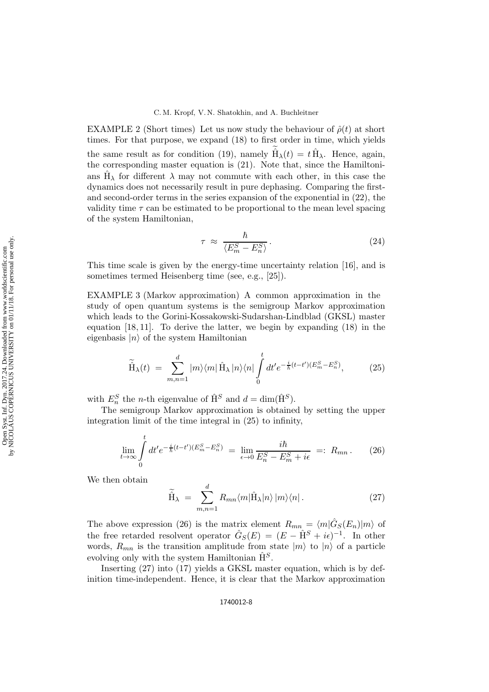#### C. M. Kropf, V. N. Shatokhin, and A. Buchleitner

EXAMPLE 2 (Short times) Let us now study the behaviour of  $\hat{\rho}(t)$  at short times. For that purpose, we expand (18) to first order in time, which yields the same result as for condition (19), namely  $\hat{H}_{\lambda}(t) = t \hat{H}_{\lambda}$ . Hence, again, the corresponding master equation is (21). Note that, since the Hamiltonians  $\hat{H}_{\lambda}$  for different  $\lambda$  may not commute with each other, in this case the dynamics does not necessarily result in pure dephasing. Comparing the firstand second-order terms in the series expansion of the exponential in (22), the validity time  $\tau$  can be estimated to be proportional to the mean level spacing of the system Hamiltonian,

$$
\tau \approx \frac{\hbar}{\langle E_m^S - E_n^S \rangle}.
$$
\n(24)

This time scale is given by the energy-time uncertainty relation [16], and is sometimes termed Heisenberg time (see, e.g., [25]).

EXAMPLE 3 (Markov approximation) A common approximation in the study of open quantum systems is the semigroup Markov approximation which leads to the Gorini-Kossakowski-Sudarshan-Lindblad (GKSL) master equation  $[18, 11]$ . To derive the latter, we begin by expanding  $(18)$  in the eigenbasis  $|n\rangle$  of the system Hamiltonian

$$
\widetilde{\hat{H}}_{\lambda}(t) = \sum_{m,n=1}^{d} |m\rangle\langle m|\hat{H}_{\lambda}|n\rangle\langle n|\int_{0}^{t} dt' e^{-\frac{i}{\hbar}(t-t')(E_{m}^{S}-E_{n}^{S})}, \tag{25}
$$

with  $E_n^S$  the *n*-th eigenvalue of  $\hat{H}^S$  and  $d = \dim(\hat{H}^S)$ .

The semigroup Markov approximation is obtained by setting the upper integration limit of the time integral in (25) to infinity,

$$
\lim_{t \to \infty} \int_{0}^{t} dt' e^{-\frac{i}{\hbar}(t-t')(E_m^S - E_n^S)} = \lim_{\epsilon \to 0} \frac{i\hbar}{E_n^S - E_m^S + i\epsilon} =: R_{mn}.
$$
 (26)

We then obtain

$$
\widetilde{\hat{H}}_{\lambda} = \sum_{m,n=1}^{d} R_{mn} \langle m | \hat{H}_{\lambda} | n \rangle | m \rangle \langle n |.
$$
 (27)

The above expression (26) is the matrix element  $R_{mn} = \langle m|\hat{G}_S(E_n)|m\rangle$  of the free retarded resolvent operator  $\hat{G}_S(E) = (E - \hat{H}^S + i\epsilon)^{-1}$ . In other words,  $R_{mn}$  is the transition amplitude from state  $|m\rangle$  to  $|n\rangle$  of a particle evolving only with the system Hamiltonian  $\hat{H}^S$ .

Inserting (27) into (17) yields a GKSL master equation, which is by definition time-independent. Hence, it is clear that the Markov approximation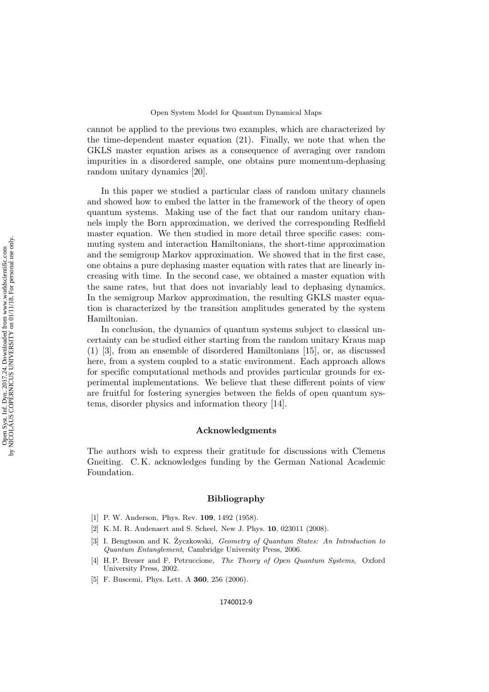cannot be applied to the previous two examples, which are characterized by the time-dependent master equation (21). Finally, we note that when the GKLS master equation arises as a consequence of averaging over random impurities in a disordered sample, one obtains pure momentum-dephasing random unitary dynamics [20].

In this paper we studied a particular class of random unitary channels and showed how to embed the latter in the framework of the theory of open quantum systems. Making use of the fact that our random unitary channels imply the Born approximation, we derived the corresponding Redfield master equation. We then studied in more detail three specific cases: commuting system and interaction Hamiltonians, the short-time approximation and the semigroup Markov approximation. We showed that in the first case, one obtains a pure dephasing master equation with rates that are linearly increasing with time. In the second case, we obtained a master equation with the same rates, but that does not invariably lead to dephasing dynamics. In the semigroup Markov approximation, the resulting GKLS master equation is characterized by the transition amplitudes generated by the system Hamiltonian.

In conclusion, the dynamics of quantum systems subject to classical uncertainty can be studied either starting from the random unitary Kraus map (1) [3], from an ensemble of disordered Hamiltonians [15], or, as discussed here, from a system coupled to a static environment. Each approach allows for specific computational methods and provides particular grounds for experimental implementations. We believe that these different points of view are fruitful for fostering synergies between the fields of open quantum systems, disorder physics and information theory [14].

## Acknowledgments

The authors wish to express their gratitude for discussions with Clemens Gneiting. C. K. acknowledges funding by the German National Academic Foundation.

### Bibliography

- [1] P. W. Anderson, Phys. Rev. **109**, 1492 (1958).
- [2] K. M. R. Audenaert and S. Scheel, New J. Phys. 10, 023011 (2008).
- [3] I. Bengtsson and K. Życzkowski, Geometry of Quantum States: An Introduction to Quantum Entanglement, Cambridge University Press, 2006.
- [4] H. P. Breuer and F. Petruccione, The Theory of Open Quantum Systems, Oxford University Press, 2002.
- [5] F. Buscemi, Phys. Lett. A **360**, 256 (2006).